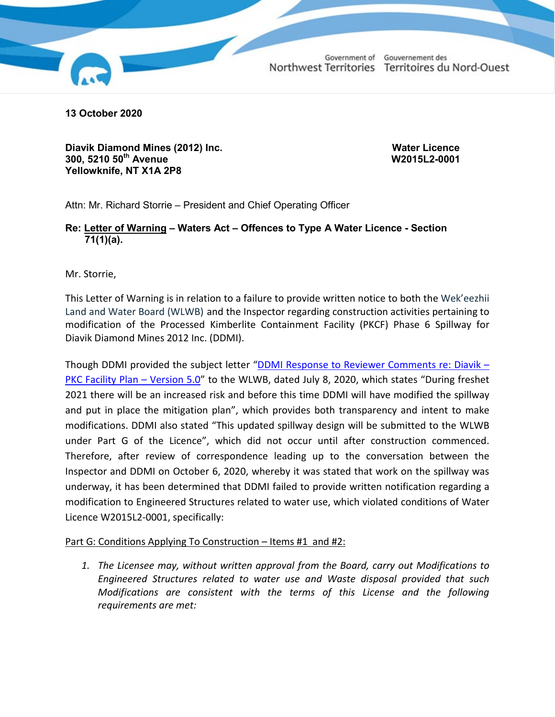Government of Gouvernement des Northwest Territories Territoires du Nord-Ouest



**13 October 2020**

**Diavik Diamond Mines (2012) Inc. Water Licence 300, 5210 50th Avenue W2015L2-0001 Yellowknife, NT X1A 2P8**

Attn: Mr. Richard Storrie – President and Chief Operating Officer

## **Re: Letter of Warning – Waters Act – Offences to Type A Water Licence - Section 71(1)(a).**

Mr. Storrie,

This Letter of Warning is in relation to a failure to provide written notice to both the Wek'eezhii Land and Water Board (WLWB) and the Inspector regarding construction activities pertaining to modification of the Processed Kimberlite Containment Facility (PKCF) Phase 6 Spillway for Diavik Diamond Mines 2012 Inc. (DDMI).

Though DDMI provided the subject letter ["DDMI Response to Reviewer Comments re: Diavik –](http://registry.mvlwb.ca/Documents/W2015L2-0001/Diavik%20-%20PKC%20Facility%20Plan%20-%20Version%205.0%20-%20Review%20Summary%20and%20Attachments%20-%20Jul%2029_20.pdf) [PKC Facility Plan –](http://registry.mvlwb.ca/Documents/W2015L2-0001/Diavik%20-%20PKC%20Facility%20Plan%20-%20Version%205.0%20-%20Review%20Summary%20and%20Attachments%20-%20Jul%2029_20.pdf) Version 5.0" to the WLWB, dated July 8, 2020, which states "During freshet 2021 there will be an increased risk and before this time DDMI will have modified the spillway and put in place the mitigation plan", which provides both transparency and intent to make modifications. DDMI also stated "This updated spillway design will be submitted to the WLWB under Part G of the Licence", which did not occur until after construction commenced. Therefore, after review of correspondence leading up to the conversation between the Inspector and DDMI on October 6, 2020, whereby it was stated that work on the spillway was underway, it has been determined that DDMI failed to provide written notification regarding a modification to Engineered Structures related to water use, which violated conditions of Water Licence W2015L2-0001, specifically:

## Part G: Conditions Applying To Construction – Items #1 and #2:

*1. The Licensee may, without written approval from the Board, carry out Modifications to Engineered Structures related to water use and Waste disposal provided that such Modifications are consistent with the terms of this License and the following requirements are met:*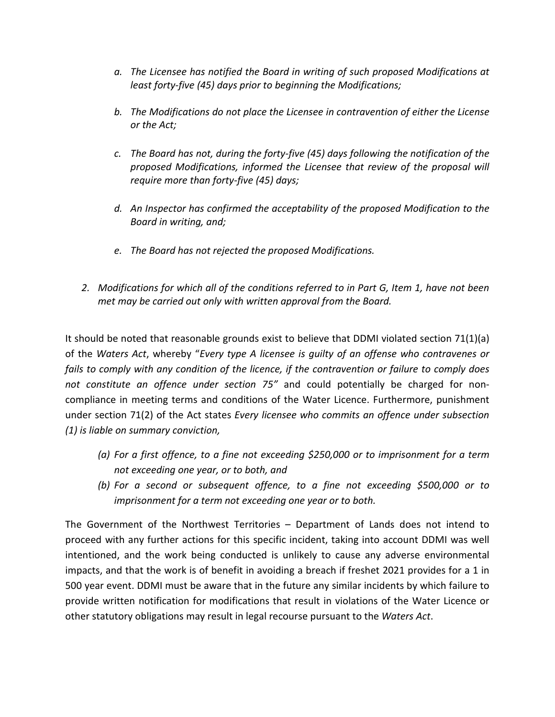- *a. The Licensee has notified the Board in writing of such proposed Modifications at least forty-five (45) days prior to beginning the Modifications;*
- *b. The Modifications do not place the Licensee in contravention of either the License or the Act;*
- *c. The Board has not, during the forty-five (45) days following the notification of the proposed Modifications, informed the Licensee that review of the proposal will require more than forty-five (45) days;*
- *d. An Inspector has confirmed the acceptability of the proposed Modification to the Board in writing, and;*
- *e. The Board has not rejected the proposed Modifications.*
- *2. Modifications for which all of the conditions referred to in Part G, Item 1, have not been met may be carried out only with written approval from the Board.*

It should be noted that reasonable grounds exist to believe that DDMI violated section 71(1)(a) of the *Waters Act*, whereby "*Every type A licensee is guilty of an offense who contravenes or fails to comply with any condition of the licence, if the contravention or failure to comply does not constitute an offence under section 75"* and could potentially be charged for noncompliance in meeting terms and conditions of the Water Licence. Furthermore, punishment under section 71(2) of the Act states *Every licensee who commits an offence under subsection (1) is liable on summary conviction,*

- *(a) For a first offence, to a fine not exceeding \$250,000 or to imprisonment for a term not exceeding one year, or to both, and*
- *(b) For a second or subsequent offence, to a fine not exceeding \$500,000 or to imprisonment for a term not exceeding one year or to both.*

The Government of the Northwest Territories – Department of Lands does not intend to proceed with any further actions for this specific incident, taking into account DDMI was well intentioned, and the work being conducted is unlikely to cause any adverse environmental impacts, and that the work is of benefit in avoiding a breach if freshet 2021 provides for a 1 in 500 year event. DDMI must be aware that in the future any similar incidents by which failure to provide written notification for modifications that result in violations of the Water Licence or other statutory obligations may result in legal recourse pursuant to the *Waters Act*.